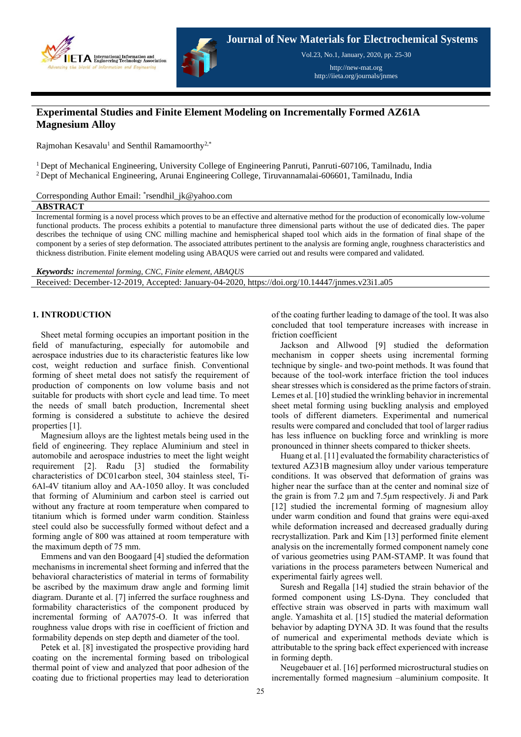



**Journal of New Materials for Electrochemical Systems**

Vol.23, No.1, January, 2020, pp. 25-30

http://new-mat.org http://iieta.org/journals/jnmes

# **Experimental Studies and Finite Element Modeling on Incrementally Formed AZ61A Magnesium Alloy**

Rajmohan Kesavalu<sup>1</sup> and Senthil Ramamoorthy<sup>2,\*</sup>

<sup>1</sup> Dept of Mechanical Engineering, University College of Engineering Panruti, Panruti-607106, Tamilnadu, India  $2$  Dept of Mechanical Engineering, Arunai Engineering College, Tiruvannamalai-606601, Tamilnadu, India

Corresponding Author Email: \* rsendhil\_jk@yahoo.com

#### **ABSTRACT**

Incremental forming is a novel process which proves to be an effective and alternative method for the production of economically low-volume functional products. The process exhibits a potential to manufacture three dimensional parts without the use of dedicated dies. The paper describes the technique of using CNC milling machine and hemispherical shaped tool which aids in the formation of final shape of the component by a series of step deformation. The associated attributes pertinent to the analysis are forming angle, roughness characteristics and thickness distribution. Finite element modeling using ABAQUS were carried out and results were compared and validated.

*Keywords: incremental forming, CNC, Finite element, ABAQUS* Received: December-12-2019, Accepted: January-04-2020, https://doi.org/10.14447/jnmes.v23i1.a05

## **1. INTRODUCTION**

Sheet metal forming occupies an important position in the field of manufacturing, especially for automobile and aerospace industries due to its characteristic features like low cost, weight reduction and surface finish. Conventional forming of sheet metal does not satisfy the requirement of production of components on low volume basis and not suitable for products with short cycle and lead time. To meet the needs of small batch production, Incremental sheet forming is considered a substitute to achieve the desired properties [1].

Magnesium alloys are the lightest metals being used in the field of engineering. They replace Aluminium and steel in automobile and aerospace industries to meet the light weight requirement [2]. Radu [3] studied the formability characteristics of DC01carbon steel, 304 stainless steel, Ti-6Al-4V titanium alloy and AA-1050 alloy. It was concluded that forming of Aluminium and carbon steel is carried out without any fracture at room temperature when compared to titanium which is formed under warm condition. Stainless steel could also be successfully formed without defect and a forming angle of 800 was attained at room temperature with the maximum depth of 75 mm.

Emmens and van den Boogaard [4] studied the deformation mechanisms in incremental sheet forming and inferred that the behavioral characteristics of material in terms of formability be ascribed by the maximum draw angle and forming limit diagram. Durante et al. [7] inferred the surface roughness and formability characteristics of the component produced by incremental forming of AA7075-O. It was inferred that roughness value drops with rise in coefficient of friction and formability depends on step depth and diameter of the tool.

Petek et al. [8] investigated the prospective providing hard coating on the incremental forming based on tribological thermal point of view and analyzed that poor adhesion of the coating due to frictional properties may lead to deterioration of the coating further leading to damage of the tool. It was also concluded that tool temperature increases with increase in friction coefficient

Jackson and Allwood [9] studied the deformation mechanism in copper sheets using incremental forming technique by single- and two-point methods. It was found that because of the tool-work interface friction the tool induces shear stresses which is considered as the prime factors of strain. Lemes et al. [10] studied the wrinkling behavior in incremental sheet metal forming using buckling analysis and employed tools of different diameters. Experimental and numerical results were compared and concluded that tool of larger radius has less influence on buckling force and wrinkling is more pronounced in thinner sheets compared to thicker sheets.

Huang et al. [11] evaluated the formability characteristics of textured AZ31B magnesium alloy under various temperature conditions. It was observed that deformation of grains was higher near the surface than at the center and nominal size of the grain is from 7.2 µm and 7.5µm respectively. Ji and Park [12] studied the incremental forming of magnesium alloy under warm condition and found that grains were equi-axed while deformation increased and decreased gradually during recrystallization. Park and Kim [13] performed finite element analysis on the incrementally formed component namely cone of various geometries using PAM-STAMP. It was found that variations in the process parameters between Numerical and experimental fairly agrees well.

Suresh and Regalla [14] studied the strain behavior of the formed component using LS-Dyna. They concluded that effective strain was observed in parts with maximum wall angle. Yamashita et al. [15] studied the material deformation behavior by adapting DYNA 3D. It was found that the results of numerical and experimental methods deviate which is attributable to the spring back effect experienced with increase in forming depth.

Neugebauer et al. [16] performed microstructural studies on incrementally formed magnesium –aluminium composite. It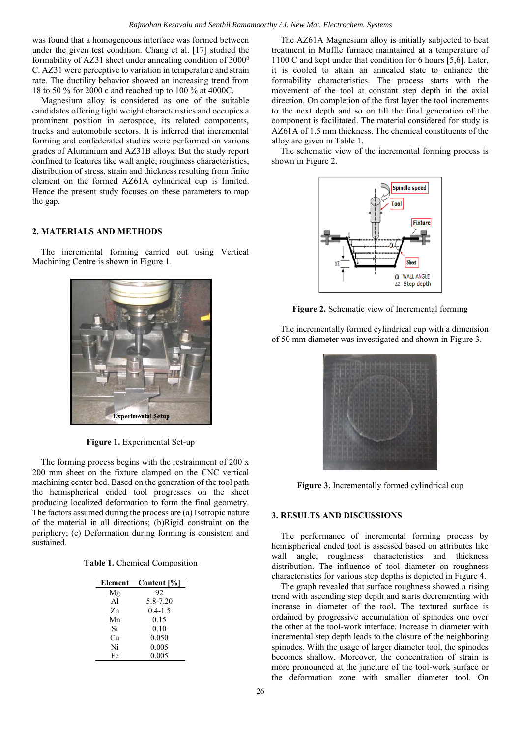was found that a homogeneous interface was formed between under the given test condition. Chang et al. [17] studied the formability of AZ31 sheet under annealing condition of  $3000^{\circ}$ C. AZ31 were perceptive to variation in temperature and strain rate. The ductility behavior showed an increasing trend from 18 to 50 % for 2000 c and reached up to 100 % at 4000C.

Magnesium alloy is considered as one of the suitable candidates offering light weight characteristics and occupies a prominent position in aerospace, its related components, trucks and automobile sectors. It is inferred that incremental forming and confederated studies were performed on various grades of Aluminium and AZ31B alloys. But the study report confined to features like wall angle, roughness characteristics, distribution of stress, strain and thickness resulting from finite element on the formed AZ61A cylindrical cup is limited. Hence the present study focuses on these parameters to map the gap.

# **2. MATERIALS AND METHODS**

The incremental forming carried out using Vertical Machining Centre is shown in Figure 1.



**Figure 1.** Experimental Set-up

The forming process begins with the restrainment of 200 x 200 mm sheet on the fixture clamped on the CNC vertical machining center bed. Based on the generation of the tool path the hemispherical ended tool progresses on the sheet producing localized deformation to form the final geometry. The factors assumed during the process are (a) Isotropic nature of the material in all directions; (b)Rigid constraint on the periphery; (c) Deformation during forming is consistent and sustained.

| Element        | Content [%] |  |
|----------------|-------------|--|
| Mg             | 92          |  |
| A <sup>1</sup> | 5.8-7.20    |  |
| Zn             | $0.4 - 1.5$ |  |
| Mn             | 0.15        |  |
| Si             | 0.10        |  |
| Сu             | 0.050       |  |
| Ni             | 0.005       |  |
| Fe             | 0.005       |  |

The AZ61A Magnesium alloy is initially subjected to heat treatment in Muffle furnace maintained at a temperature of 1100 C and kept under that condition for 6 hours [5,6]. Later, it is cooled to attain an annealed state to enhance the formability characteristics. The process starts with the movement of the tool at constant step depth in the axial direction. On completion of the first layer the tool increments to the next depth and so on till the final generation of the component is facilitated. The material considered for study is AZ61A of 1.5 mm thickness. The chemical constituents of the alloy are given in Table 1.

The schematic view of the incremental forming process is shown in Figure 2.



**Figure 2.** Schematic view of Incremental forming

The incrementally formed cylindrical cup with a dimension of 50 mm diameter was investigated and shown in Figure 3.



**Figure 3.** Incrementally formed cylindrical cup

## **3. RESULTS AND DISCUSSIONS**

The performance of incremental forming process by hemispherical ended tool is assessed based on attributes like wall angle, roughness characteristics and thickness distribution. The influence of tool diameter on roughness characteristics for various step depths is depicted in Figure 4.

The graph revealed that surface roughness showed a rising trend with ascending step depth and starts decrementing with increase in diameter of the tool**.** The textured surface is ordained by progressive accumulation of spinodes one over the other at the tool-work interface. Increase in diameter with incremental step depth leads to the closure of the neighboring spinodes. With the usage of larger diameter tool, the spinodes becomes shallow. Moreover, the concentration of strain is more pronounced at the juncture of the tool-work surface or the deformation zone with smaller diameter tool. On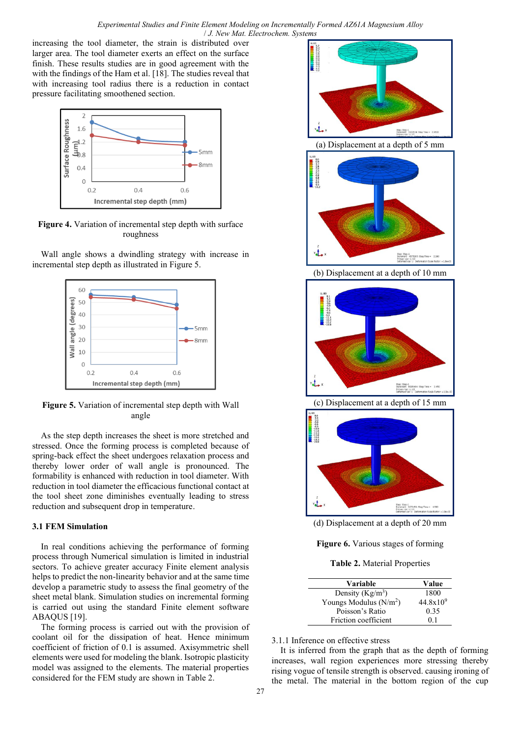*Experimental Studies and Finite Element Modeling on Incrementally Formed AZ61A Magnesium Alloy*  / *J. New Mat. Electrochem. Systems*

increasing the tool diameter, the strain is distributed over larger area. The tool diameter exerts an effect on the surface finish. These results studies are in good agreement with the with the findings of the Ham et al. [18]. The studies reveal that with increasing tool radius there is a reduction in contact pressure facilitating smoothened section.



**Figure 4.** Variation of incremental step depth with surface roughness

Wall angle shows a dwindling strategy with increase in incremental step depth as illustrated in Figure 5.



**Figure 5.** Variation of incremental step depth with Wall angle

As the step depth increases the sheet is more stretched and stressed. Once the forming process is completed because of spring-back effect the sheet undergoes relaxation process and thereby lower order of wall angle is pronounced. The formability is enhanced with reduction in tool diameter. With reduction in tool diameter the efficacious functional contact at the tool sheet zone diminishes eventually leading to stress reduction and subsequent drop in temperature.

# **3.1 FEM Simulation**

In real conditions achieving the performance of forming process through Numerical simulation is limited in industrial sectors. To achieve greater accuracy Finite element analysis helps to predict the non-linearity behavior and at the same time develop a parametric study to assess the final geometry of the sheet metal blank. Simulation studies on incremental forming is carried out using the standard Finite element software ABAQUS [19].

The forming process is carried out with the provision of coolant oil for the dissipation of heat. Hence minimum coefficient of friction of 0.1 is assumed. Axisymmetric shell elements were used for modeling the blank. Isotropic plasticity model was assigned to the elements. The material properties considered for the FEM study are shown in Table 2.



**Figure 6.** Various stages of forming

**Table 2.** Material Properties

| Variable                           | Value                |
|------------------------------------|----------------------|
| Density $(Kg/m^3)$                 | 1800                 |
| Youngs Modulus (N/m <sup>2</sup> ) | $44.8 \times 10^{9}$ |
| Poisson's Ratio                    | 0.35                 |
| Friction coefficient               | 01                   |

3.1.1 Inference on effective stress

It is inferred from the graph that as the depth of forming increases, wall region experiences more stressing thereby rising vogue of tensile strength is observed. causing ironing of the metal. The material in the bottom region of the cup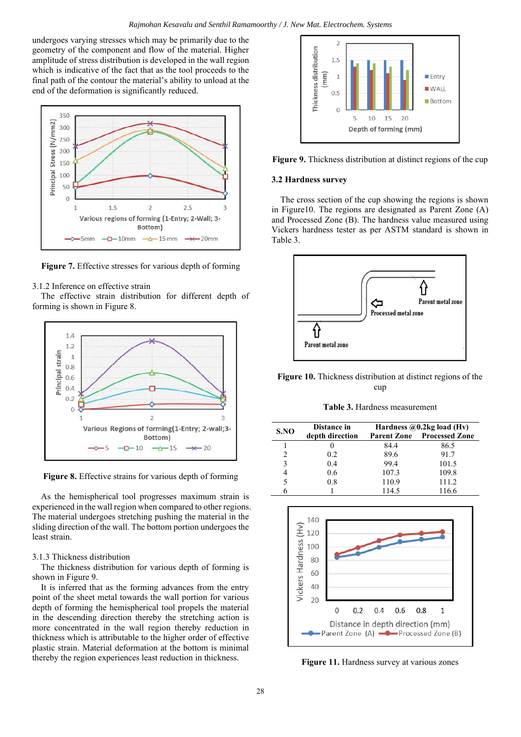undergoes varying stresses which may be primarily due to the geometry of the component and flow of the material. Higher amplitude of stress distribution is developed in the wall region which is indicative of the fact that as the tool proceeds to the final path of the contour the material's ability to unload at the end of the deformation is significantly reduced.



**Figure 7.** Effective stresses for various depth of forming

#### 3.1.2 Inference on effective strain

The effective strain distribution for different depth of forming is shown in Figure 8.



**Figure 8.** Effective strains for various depth of forming

As the hemispherical tool progresses maximum strain is experienced in the wall region when compared to other regions. The material undergoes stretching pushing the material in the sliding direction of the wall. The bottom portion undergoes the least strain.

#### 3.1.3 Thickness distribution

The thickness distribution for various depth of forming is shown in Figure 9.

It is inferred that as the forming advances from the entry point of the sheet metal towards the wall portion for various depth of forming the hemispherical tool propels the material in the descending direction thereby the stretching action is more concentrated in the wall region thereby reduction in thickness which is attributable to the higher order of effective plastic strain. Material deformation at the bottom is minimal thereby the region experiences least reduction in thickness.



**Figure 9.** Thickness distribution at distinct regions of the cup

#### **3.2 Hardness survey**

The cross section of the cup showing the regions is shown in Figure10. The regions are designated as Parent Zone (A) and Processed Zone (B). The hardness value measured using Vickers hardness tester as per ASTM standard is shown in Table 3.



**Figure 10.** Thickness distribution at distinct regions of the cup

**Table 3.** Hardness measurement

| S.NO           | Distance in     | Hardness $@0.2kg$ load (Hv) |                       |
|----------------|-----------------|-----------------------------|-----------------------|
|                | depth direction | <b>Parent Zone</b>          | <b>Processed Zone</b> |
|                |                 | 84.4                        | 86.5                  |
| $\mathfrak{D}$ | 0.2             | 89.6                        | 91.7                  |
| 3              | 0.4             | 99.4                        | 101.5                 |
| 4              | 0.6             | 107.3                       | 109.8                 |
| 5              | 0.8             | 110.9                       | 111.2                 |
|                |                 | 114.5                       | 116.6                 |



**Figure 11.** Hardness survey at various zones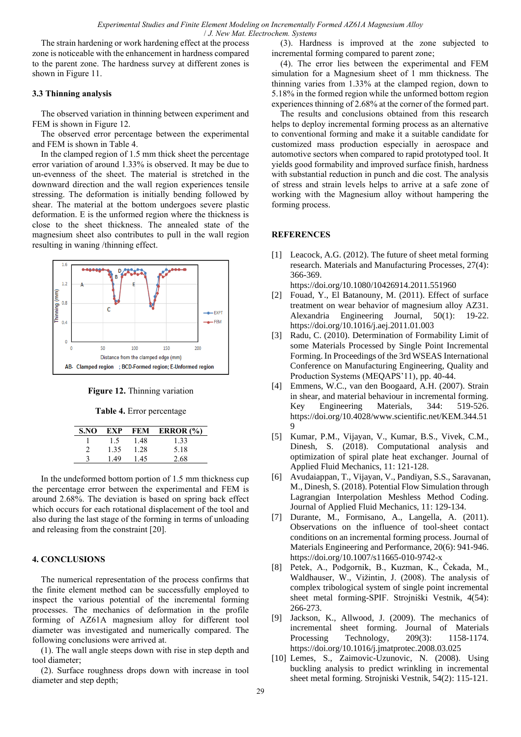The strain hardening or work hardening effect at the process zone is noticeable with the enhancement in hardness compared to the parent zone. The hardness survey at different zones is shown in Figure 11.

# **3.3 Thinning analysis**

The observed variation in thinning between experiment and FEM is shown in Figure 12.

The observed error percentage between the experimental and FEM is shown in Table 4.

In the clamped region of 1.5 mm thick sheet the percentage error variation of around 1.33% is observed. It may be due to un-evenness of the sheet. The material is stretched in the downward direction and the wall region experiences tensile stressing. The deformation is initially bending followed by shear. The material at the bottom undergoes severe plastic deformation. E is the unformed region where the thickness is close to the sheet thickness. The annealed state of the magnesium sheet also contributes to pull in the wall region resulting in waning /thinning effect.



**Figure 12.** Thinning variation

#### **Table 4.** Error percentage

| S.NO | EXP  | FEM  | ERROR $(\% )$ |
|------|------|------|---------------|
|      | 1.5  | 1.48 | 1.33          |
|      | 1.35 | 1.28 | 5.18          |
|      | 1.49 | 1.45 | 2.68          |

In the undeformed bottom portion of 1.5 mm thickness cup the percentage error between the experimental and FEM is around 2.68%. The deviation is based on spring back effect which occurs for each rotational displacement of the tool and also during the last stage of the forming in terms of unloading and releasing from the constraint [20].

## **4. CONCLUSIONS**

The numerical representation of the process confirms that the finite element method can be successfully employed to inspect the various potential of the incremental forming processes. The mechanics of deformation in the profile forming of AZ61A magnesium alloy for different tool diameter was investigated and numerically compared. The following conclusions were arrived at.

(1). The wall angle steeps down with rise in step depth and tool diameter;

(2). Surface roughness drops down with increase in tool diameter and step depth;

(3). Hardness is improved at the zone subjected to incremental forming compared to parent zone;

(4). The error lies between the experimental and FEM simulation for a Magnesium sheet of 1 mm thickness. The thinning varies from 1.33% at the clamped region, down to 5.18% in the formed region while the unformed bottom region experiences thinning of 2.68% at the corner of the formed part.

The results and conclusions obtained from this research helps to deploy incremental forming process as an alternative to conventional forming and make it a suitable candidate for customized mass production especially in aerospace and automotive sectors when compared to rapid prototyped tool. It yields good formability and improved surface finish, hardness with substantial reduction in punch and die cost. The analysis of stress and strain levels helps to arrive at a safe zone of working with the Magnesium alloy without hampering the forming process.

## **REFERENCES**

[1] Leacock, A.G. (2012). The future of sheet metal forming research. Materials and Manufacturing Processes, 27(4): 366-369.

https://doi.org/10.1080/10426914.2011.551960

- [2] Fouad, Y., El Batanouny, M. (2011). Effect of surface treatment on wear behavior of magnesium alloy AZ31. Alexandria Engineering Journal, 50(1): 19-22. https://doi.org/10.1016/j.aej.2011.01.003
- [3] Radu, C. (2010). Determination of Formability Limit of some Materials Processed by Single Point Incremental Forming. In Proceedings of the 3rd WSEAS International Conference on Manufacturing Engineering, Quality and Production Systems (MEQAPS'11), pp. 40-44.
- [4] Emmens, W.C., van den Boogaard, A.H. (2007). Strain in shear, and material behaviour in incremental forming. Key Engineering Materials, 344: 519-526. https://doi.org/10.4028/www.scientific.net/KEM.344.51 9
- [5] Kumar, P.M., Vijayan, V., Kumar, B.S., Vivek, C.M., Dinesh, S. (2018). Computational analysis and optimization of spiral plate heat exchanger. Journal of Applied Fluid Mechanics, 11: 121-128.
- [6] Avudaiappan, T., Vijayan, V., Pandiyan, S.S., Saravanan, M., Dinesh, S. (2018). Potential Flow Simulation through Lagrangian Interpolation Meshless Method Coding. Journal of Applied Fluid Mechanics, 11: 129-134.
- [7] Durante, M., Formisano, A., Langella, A. (2011). Observations on the influence of tool-sheet contact conditions on an incremental forming process. Journal of Materials Engineering and Performance, 20(6): 941-946. https://doi.org/10.1007/s11665-010-9742-x
- [8] Petek, A., Podgornik, B., Kuzman, K., Čekada, M., Waldhauser, W., Vižintin, J. (2008). The analysis of complex tribological system of single point incremental sheet metal forming-SPIF. Strojniški Vestnik, 4(54): 266-273.
- [9] Jackson, K., Allwood, J. (2009). The mechanics of incremental sheet forming. Journal of Materials Processing Technology, 209(3): 1158-1174. https://doi.org/10.1016/j.jmatprotec.2008.03.025
- [10] Lemes, S., Zaimovic-Uzunovic, N. (2008). Using buckling analysis to predict wrinkling in incremental sheet metal forming. Strojniski Vestnik, 54(2): 115-121.